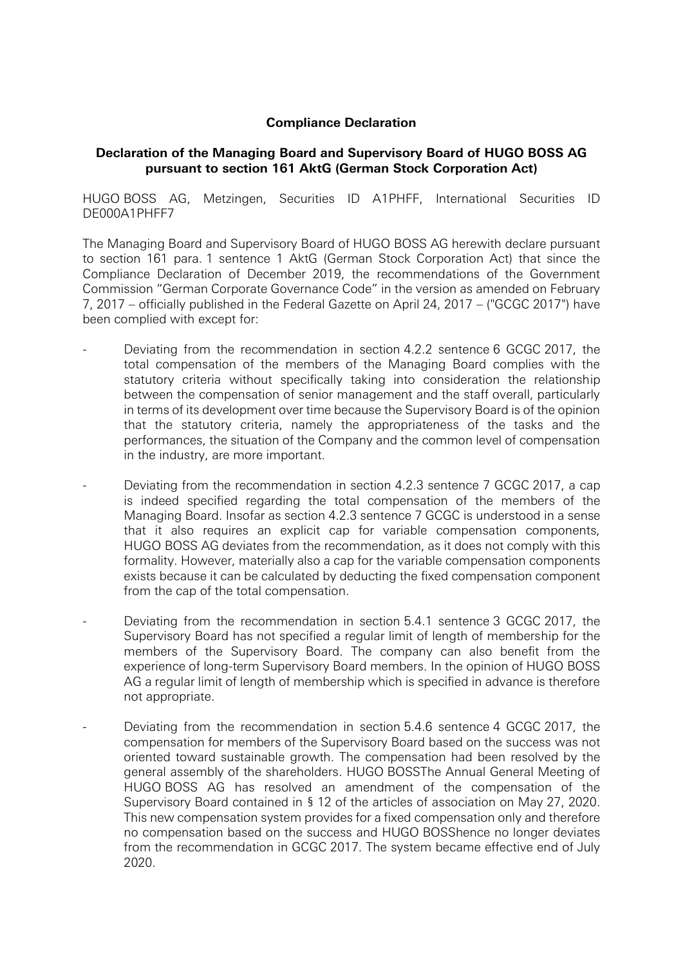## **Compliance Declaration**

## **Declaration of the Managing Board and Supervisory Board of HUGO BOSS AG pursuant to section 161 AktG (German Stock Corporation Act)**

HUGO BOSS AG, Metzingen, Securities ID A1PHFF, International Securities ID DE000A1PHFF7

The Managing Board and Supervisory Board of HUGO BOSS AG herewith declare pursuant to section 161 para. 1 sentence 1 AktG (German Stock Corporation Act) that since the Compliance Declaration of December 2019, the recommendations of the Government Commission "German Corporate Governance Code" in the version as amended on February 7, 2017 – officially published in the Federal Gazette on April 24, 2017 – ("GCGC 2017") have been complied with except for:

- Deviating from the recommendation in section 4.2.2 sentence 6 GCGC 2017, the total compensation of the members of the Managing Board complies with the statutory criteria without specifically taking into consideration the relationship between the compensation of senior management and the staff overall, particularly in terms of its development over time because the Supervisory Board is of the opinion that the statutory criteria, namely the appropriateness of the tasks and the performances, the situation of the Company and the common level of compensation in the industry, are more important.
- Deviating from the recommendation in section 4.2.3 sentence 7 GCGC 2017, a cap is indeed specified regarding the total compensation of the members of the Managing Board. Insofar as section 4.2.3 sentence 7 GCGC is understood in a sense that it also requires an explicit cap for variable compensation components, HUGO BOSS AG deviates from the recommendation, as it does not comply with this formality. However, materially also a cap for the variable compensation components exists because it can be calculated by deducting the fixed compensation component from the cap of the total compensation.
- Deviating from the recommendation in section 5.4.1 sentence 3 GCGC 2017, the Supervisory Board has not specified a regular limit of length of membership for the members of the Supervisory Board. The company can also benefit from the experience of long-term Supervisory Board members. In the opinion of HUGO BOSS AG a regular limit of length of membership which is specified in advance is therefore not appropriate.
- Deviating from the recommendation in section 5.4.6 sentence 4 GCGC 2017, the compensation for members of the Supervisory Board based on the success was not oriented toward sustainable growth. The compensation had been resolved by the general assembly of the shareholders. HUGO BOSSThe Annual General Meeting of HUGO BOSS AG has resolved an amendment of the compensation of the Supervisory Board contained in § 12 of the articles of association on May 27, 2020. This new compensation system provides for a fixed compensation only and therefore no compensation based on the success and HUGO BOSShence no longer deviates from the recommendation in GCGC 2017. The system became effective end of July 2020.